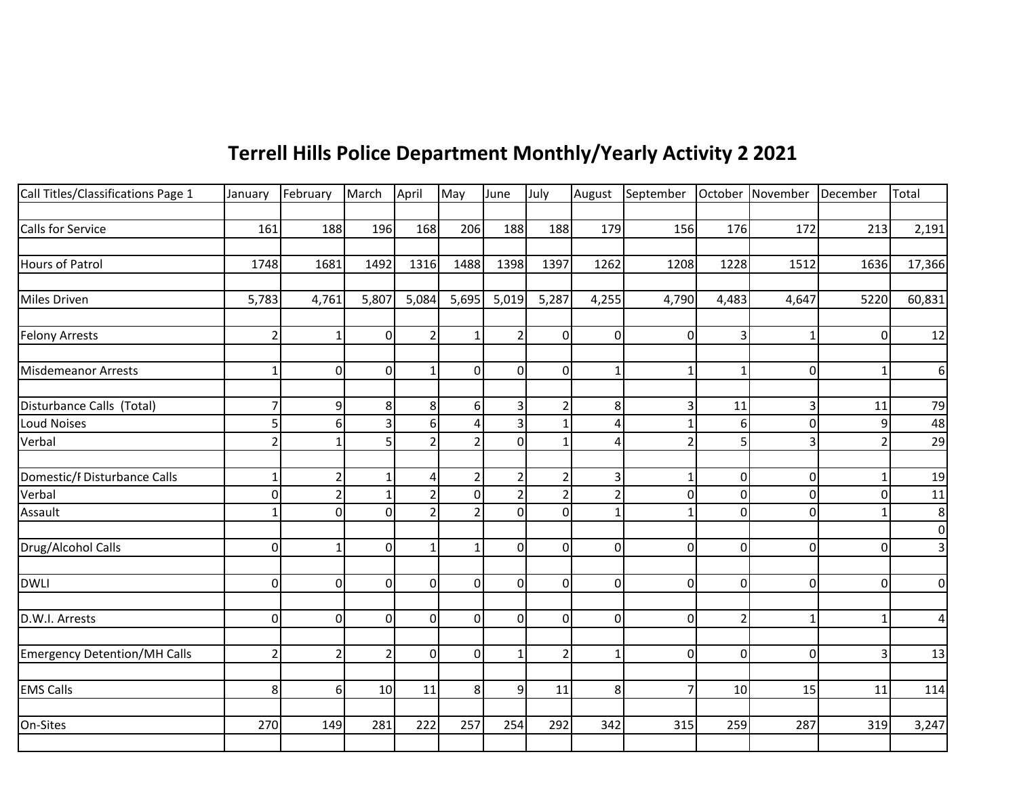## **Terrell Hills Police Department Monthly/Yearly Activity 2 2021**

| Call Titles/Classifications Page 1  | January        | February         | March          | April          | May            | June           | July           |                | August September October November December |                |          |          | Total           |
|-------------------------------------|----------------|------------------|----------------|----------------|----------------|----------------|----------------|----------------|--------------------------------------------|----------------|----------|----------|-----------------|
|                                     |                |                  |                |                |                |                |                |                |                                            |                |          |          |                 |
| Calls for Service                   | 161            | 188              | 196            | 168            | 206            | 188            | 188            | 179            | 156                                        | 176            | 172      | 213      | 2,191           |
|                                     |                |                  |                |                |                |                |                |                |                                            |                |          |          |                 |
| Hours of Patrol                     | 1748           | 1681             | 1492           | 1316           | 1488           | 1398           | 1397           | 1262           | 1208                                       | 1228           | 1512     | 1636     | 17,366          |
|                                     |                |                  |                |                |                |                |                |                |                                            |                |          |          |                 |
| Miles Driven                        | 5,783          | 4,761            | 5,807          | 5,084          | 5,695          | 5,019          | 5,287          | 4,255          | 4,790                                      | 4,483          | 4,647    | 5220     | 60,831          |
|                                     |                |                  |                |                |                |                |                |                |                                            |                |          |          |                 |
| <b>Felony Arrests</b>               | $\overline{2}$ | $\mathbf{1}$     | $\Omega$       | $\overline{2}$ |                | $\overline{2}$ | $\Omega$       | $\mathbf 0$    | 0                                          | 3              |          | $\Omega$ | 12              |
|                                     |                |                  |                |                |                |                |                |                |                                            |                |          |          |                 |
| Misdemeanor Arrests                 | $\mathbf{1}$   | $\Omega$         | 0              | 1              | $\mathbf{0}$   | $\overline{0}$ | $\overline{0}$ | 1              |                                            | 1              | 0        |          | 6               |
| Disturbance Calls (Total)           | $\overline{7}$ | $\boldsymbol{9}$ | 8              | 8              | 6              | $\overline{3}$ | $\overline{2}$ | 8              | 3                                          | 11             | 3        | 11       |                 |
| <b>Loud Noises</b>                  | 5              | 6                | З              | 6              | Δ              | $\overline{3}$ |                | 4              |                                            | 6              | O        | 9        | 79<br>48        |
| Verbal                              | $\overline{2}$ | $\mathbf{1}$     | 5              | $\mathfrak{D}$ |                | οl             |                | 4              |                                            | 5              |          |          | $\overline{29}$ |
|                                     |                |                  |                |                |                |                |                |                |                                            |                |          |          |                 |
| Domestic/F Disturbance Calls        | $\mathbf{1}$   | $\overline{2}$   | $\mathbf{1}$   | 4              | $\overline{2}$ | $\overline{2}$ |                | $\mathbf{3}$   |                                            | $\overline{0}$ | $\Omega$ |          | 19              |
| Verbal                              | $\mathbf 0$    | $\overline{2}$   |                | $\mathcal{P}$  | $\Omega$       | $\overline{2}$ |                | $\overline{2}$ | 0                                          | $\overline{0}$ | 0        | 0        | 11              |
| Assault                             | $\mathbf{1}$   | 0                | 0              | $\overline{2}$ | $\mathfrak{D}$ | οl             | $\Omega$       | $\mathbf{1}$   |                                            | $\overline{0}$ | $\Omega$ |          | 8               |
|                                     |                |                  |                |                |                |                |                |                |                                            |                |          |          | $\mathbf 0$     |
| Drug/Alcohol Calls                  | $\mathbf 0$    | $\mathbf{1}$     | 0              | 1              |                | $\overline{0}$ | $\Omega$       | $\overline{0}$ | 0                                          | $\overline{0}$ | 0        | 0        | 3               |
|                                     |                |                  |                |                |                |                |                |                |                                            |                |          |          |                 |
| <b>DWLI</b>                         | $\mathbf 0$    | $\Omega$         | $\Omega$       | $\overline{0}$ | $\mathbf{0}$   | $\overline{0}$ | $\Omega$       | $\overline{0}$ | $\Omega$                                   | $\overline{0}$ | $\Omega$ | 0        | $\pmb{0}$       |
|                                     |                |                  |                |                |                |                |                |                |                                            |                |          |          |                 |
| D.W.I. Arrests                      | $\mathbf 0$    | $\mathbf 0$      | $\mathbf 0$    | 0l             | $\Omega$       | οl             | $\mathbf 0$    | $\overline{0}$ | 0                                          | $\overline{2}$ | 1        |          | 4               |
|                                     |                |                  |                |                |                |                |                |                |                                            |                |          |          |                 |
| <b>Emergency Detention/MH Calls</b> | $\overline{2}$ | $\overline{2}$   | $\overline{2}$ | $\overline{0}$ | $\mathbf{0}$   | $\mathbf{1}$   | 2              | $\mathbf 1$    | $\overline{0}$                             | $\overline{0}$ | 0        | 3        | 13              |
|                                     |                |                  |                |                |                |                |                |                |                                            |                |          |          |                 |
| <b>EMS Calls</b>                    | 8              | 6                | 10             | 11             | 8              | 9              | 11             | 8              | $\overline{7}$                             | 10             | 15       | 11       | 114             |
|                                     |                |                  |                |                |                |                |                |                |                                            |                |          |          |                 |
| On-Sites                            | 270            | 149              | 281            | 222            | 257            | 254            | 292            | 342            | 315                                        | 259            | 287      | 319      | 3,247           |
|                                     |                |                  |                |                |                |                |                |                |                                            |                |          |          |                 |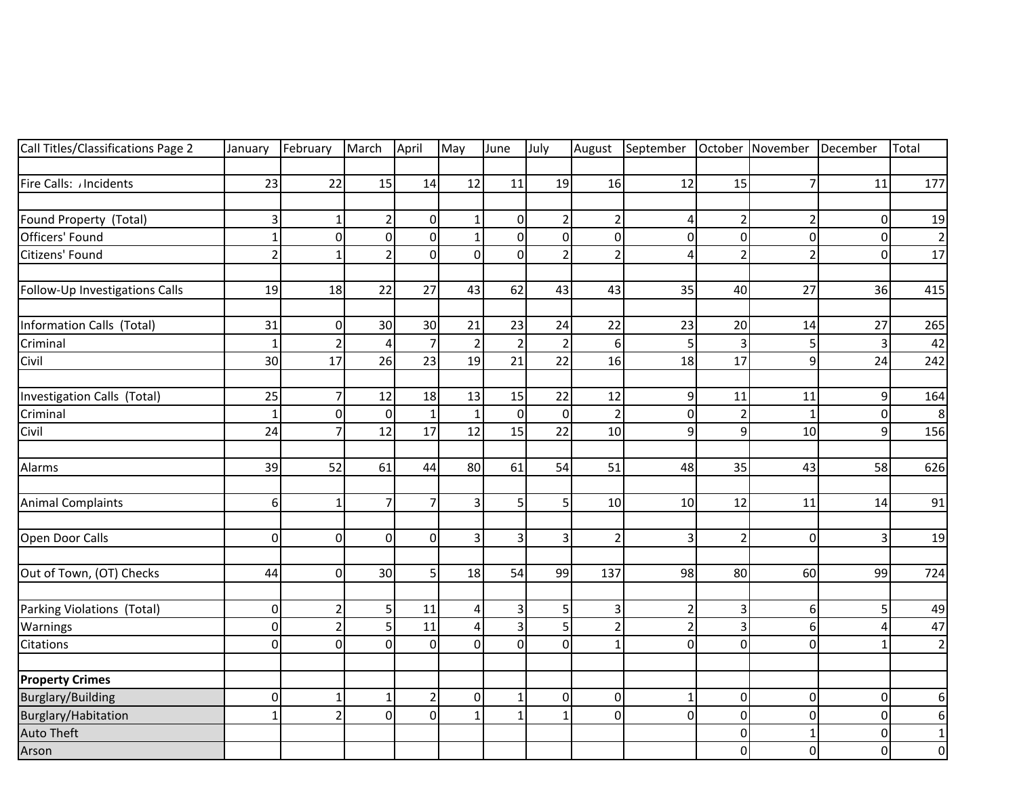| Call Titles/Classifications Page 2 | January        | February       | March          | April          | May            | June                    | July           | August                  | September      |                | October November December |                | Total                   |
|------------------------------------|----------------|----------------|----------------|----------------|----------------|-------------------------|----------------|-------------------------|----------------|----------------|---------------------------|----------------|-------------------------|
|                                    |                |                |                |                |                |                         |                |                         |                |                |                           |                |                         |
| Fire Calls: /Incidents             | 23             | 22             | 15             | 14             | 12             | 11                      | 19             | 16                      | 12             | 15             | $\overline{7}$            | 11             | 177                     |
| Found Property (Total)             | 3              |                | $\overline{2}$ | $\overline{0}$ | 1              | $\overline{0}$          | $\overline{2}$ | $\overline{2}$          | 4              | $\overline{2}$ | $\overline{2}$            | 0              | 19                      |
| Officers' Found                    | $\mathbf 1$    | $\mathbf 0$    | $\overline{0}$ | $\Omega$       | $\mathbf{1}$   | $\overline{0}$          | 0              | $\overline{0}$          | $\Omega$       | $\overline{0}$ | $\mathbf 0$               | $\mathbf 0$    | $\overline{2}$          |
| Citizens' Found                    | $\overline{2}$ | $\mathbf{1}$   | $\overline{2}$ | $\Omega$       | $\mathbf 0$    | $\overline{0}$          | $\overline{2}$ | $\overline{2}$          | 4              | $\overline{2}$ | $\overline{2}$            | $\mathbf 0$    | $\overline{17}$         |
|                                    |                |                |                |                |                |                         |                |                         |                |                |                           |                |                         |
| Follow-Up Investigations Calls     | 19             | 18             | 22             | 27             | 43             | 62                      | 43             | 43                      | 35             | 40             | 27                        | 36             | 415                     |
| Information Calls (Total)          | 31             | 0              | 30             | 30             | 21             | 23                      | 24             | 22                      | 23             | 20             | 14                        | 27             | 265                     |
| Criminal                           | $\mathbf{1}$   | $\overline{2}$ | $\overline{a}$ | $\overline{7}$ | $\overline{2}$ | $\overline{2}$          | $\overline{2}$ | 6                       |                | $\overline{3}$ | 5                         | 3              | 42                      |
| Civil                              | 30             | 17             | 26             | 23             | 19             | 21                      | 22             | 16                      | 18             | 17             | 9                         | 24             | 242                     |
| Investigation Calls (Total)        | 25             | $\overline{7}$ | 12             | 18             | 13             | 15                      | 22             | 12                      | 9              | 11             | 11                        | 9              | 164                     |
| Criminal                           | $\mathbf{1}$   | $\mathbf 0$    | $\overline{0}$ | $\mathbf{1}$   | $\mathbf{1}$   | $\overline{0}$          | 0              | $\overline{2}$          | $\overline{0}$ | $\overline{2}$ | $\mathbf{1}$              | $\mathbf 0$    | 8                       |
| Civil                              | 24             | $\overline{7}$ | 12             | 17             | 12             | 15                      | 22             | 10                      | $\overline{9}$ | $\overline{9}$ | 10                        | $\overline{9}$ | 156                     |
|                                    |                |                |                |                |                |                         |                |                         |                |                |                           |                |                         |
| Alarms                             | 39             | 52             | 61             | 44             | 80             | 61                      | 54             | 51                      | 48             | 35             | 43                        | 58             | 626                     |
| <b>Animal Complaints</b>           | 6              | $\mathbf{1}$   | $\overline{7}$ | $\overline{7}$ | 3              | $\mathsf{S}$            | 5              | 10                      | 10             | 12             | 11                        | 14             | 91                      |
| Open Door Calls                    | 0              | $\mathbf 0$    | $\overline{0}$ | $\overline{0}$ | 3              | $\overline{\mathbf{3}}$ | $\overline{3}$ | $\overline{2}$          | 3              | $\overline{2}$ | $\mathbf 0$               | 3              | 19                      |
| Out of Town, (OT) Checks           | 44             | 0              | 30             | 5 <sup>1</sup> | 18             | 54                      | 99             | 137                     | 98             | 80             | 60                        | 99             | 724                     |
| Parking Violations (Total)         | $\mathbf 0$    | $\overline{2}$ | 5              | 11             | 4              | $\overline{3}$          | 5              | $\overline{\mathbf{3}}$ | $\overline{2}$ | $\overline{3}$ | 6                         | 5              | 49                      |
| Warnings                           | 0              | $\overline{2}$ | 5              | 11             | 4              | $\overline{\mathbf{3}}$ | 5              | $\overline{2}$          | $\overline{2}$ | $\overline{3}$ | 6                         | 4              | 47                      |
| Citations                          | 0              | $\Omega$       | $\Omega$       | $\overline{0}$ | $\Omega$       | $\Omega$                | $\mathbf 0$    | $\mathbf{1}$            | $\overline{0}$ | $\overline{0}$ | $\Omega$                  | $\mathbf{1}$   | $\overline{2}$          |
|                                    |                |                |                |                |                |                         |                |                         |                |                |                           |                |                         |
| <b>Property Crimes</b>             |                |                |                |                |                |                         |                |                         |                |                |                           |                |                         |
| <b>Burglary/Building</b>           | 0              | $\mathbf 1$    | -1             | $\overline{2}$ | $\pmb{0}$      | $\mathbf{1}$            | 0              | $\pmb{0}$               |                | $\overline{0}$ | $\Omega$                  | 0              | 6                       |
| Burglary/Habitation                | $\mathbf{1}$   | $\overline{2}$ | $\mathbf 0$    | $\overline{0}$ | $\mathbf{1}$   | $\mathbf{1}$            | $\mathbf{1}$   | $\mathbf 0$             | $\Omega$       | $\overline{0}$ | $\Omega$                  | $\mathbf 0$    | $\boldsymbol{6}$        |
| <b>Auto Theft</b>                  |                |                |                |                |                |                         |                |                         |                | $\overline{0}$ | $\mathbf{1}$              | 0              | $\mathbf 1$             |
| Arson                              |                |                |                |                |                |                         |                |                         |                | $\overline{0}$ | $\mathbf 0$               | $\mathbf 0$    | $\overline{\mathsf{o}}$ |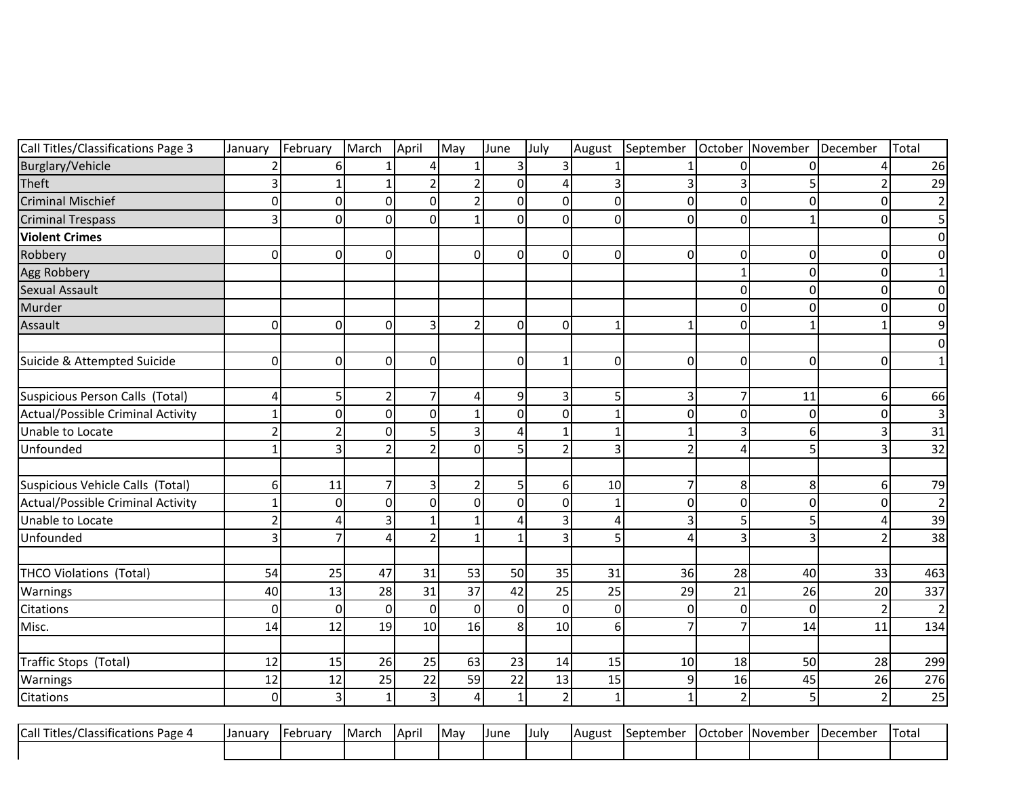| Call Titles/Classifications Page 3 | January                  | February       | March           | April          | May            | June           | July           | August         | September      | October        | November    | December       | Total           |
|------------------------------------|--------------------------|----------------|-----------------|----------------|----------------|----------------|----------------|----------------|----------------|----------------|-------------|----------------|-----------------|
| Burglary/Vehicle                   |                          | 61             |                 | 4              |                | $\overline{3}$ | 3              |                |                | $\Omega$       | $\Omega$    | 4              | 26              |
| Theft                              | 3                        | 1              | 1               | $\overline{2}$ | $\overline{2}$ | $\Omega$       | 4              | $\overline{3}$ | $\overline{3}$ | 3              | 5           | $\overline{2}$ | 29              |
| <b>Criminal Mischief</b>           | 0                        | $\Omega$       | $\overline{0}$  | $\mathbf 0$    | 2              | $\overline{0}$ | 0              | $\mathbf 0$    | $\overline{0}$ | $\overline{0}$ | $\Omega$    | $\Omega$       |                 |
| <b>Criminal Trespass</b>           | 3                        | $\overline{0}$ | $\Omega$        | $\Omega$       |                | $\overline{0}$ | 0              | $\mathbf 0$    | $\overline{0}$ | $\overline{0}$ | $\mathbf 1$ | $\Omega$       |                 |
| <b>Violent Crimes</b>              |                          |                |                 |                |                |                |                |                |                |                |             |                |                 |
| Robbery                            | $\mathbf 0$              | $\Omega$       | $\overline{0}$  |                | $\overline{0}$ | $\Omega$       | 0              | $\mathbf 0$    | 0              | $\mathbf 0$    | 0           | $\overline{0}$ |                 |
| <b>Agg Robbery</b>                 |                          |                |                 |                |                |                |                |                |                | $\mathbf{1}$   | $\Omega$    | $\overline{0}$ |                 |
| Sexual Assault                     |                          |                |                 |                |                |                |                |                |                | $\overline{0}$ | 0           | $\overline{0}$ | ი               |
| Murder                             |                          |                |                 |                |                |                |                |                |                | $\Omega$       | $\Omega$    | $\Omega$       |                 |
| Assault                            | 0                        | $\Omega$       | $\Omega$        | 3              | $\overline{2}$ | $\Omega$       | $\Omega$       | $\mathbf{1}$   | $\mathbf{1}$   | $\Omega$       | $\mathbf 1$ | 1              |                 |
|                                    |                          |                |                 |                |                |                |                |                |                |                |             |                |                 |
| Suicide & Attempted Suicide        | 0                        | $\Omega$       | $\Omega$        | $\overline{0}$ |                | $\overline{0}$ | $\mathbf{1}$   | $\mathbf 0$    | 0              | $\overline{0}$ | $\mathbf 0$ | $\Omega$       |                 |
|                                    |                          |                |                 |                |                |                |                |                |                |                |             |                |                 |
| Suspicious Person Calls (Total)    | 4                        | 5 <sup>1</sup> | $\overline{2}$  | 7              | 4              | $\overline{9}$ | 3              | 5              | 3              | $\overline{7}$ | 11          | 6              | 66              |
| Actual/Possible Criminal Activity  | 1                        | $\Omega$       | $\Omega$        | $\Omega$       |                | $\overline{0}$ | 0              | $\mathbf{1}$   | 0              | $\mathbf 0$    | $\Omega$    | $\overline{0}$ | 3               |
| Unable to Locate                   | $\overline{\phantom{a}}$ | $\overline{2}$ | $\overline{0}$  | 5              | 3              | $\vert$        | $\mathbf{1}$   | $\mathbf{1}$   | $\mathbf{1}$   | 3              | 6           | 3              | 31              |
| Unfounded                          | 1                        | $\overline{3}$ | $\overline{2}$  | $\mathcal{P}$  | $\Omega$       | $\mathsf{S}$   | $\overline{2}$ | $\overline{3}$ | $\overline{2}$ | 4              | 5           | 3              | 32              |
|                                    |                          |                |                 |                |                |                |                |                |                |                |             |                |                 |
| Suspicious Vehicle Calls (Total)   | 6                        | 11             | $\overline{7}$  | 3              | $\overline{2}$ | 5 <sup>1</sup> | 6              | 10             | 7              | 8              | 8           | 6              | 79              |
| Actual/Possible Criminal Activity  | 1                        | $\overline{0}$ | $\overline{0}$  | $\Omega$       | $\Omega$       | $\overline{0}$ | 0              | 1              | $\overline{0}$ | $\overline{0}$ | $\Omega$    | $\Omega$       | $\overline{2}$  |
| Unable to Locate                   | $\overline{2}$           | 4              | $\overline{3}$  | 1              |                | $\overline{4}$ | 3              | $\overline{4}$ | 3              | 5              | 5           | Δ              | 39              |
| Unfounded                          | 3                        | 7              | $\overline{a}$  | $\overline{2}$ | 1              | $\mathbf{1}$   | 3              | 5              | 4              | 3              | 3           | 2              | $\overline{38}$ |
|                                    |                          |                |                 |                |                |                |                |                |                |                |             |                |                 |
| THCO Violations (Total)            | 54                       | 25             | 47              | 31             | 53             | 50             | 35             | 31             | 36             | 28             | 40          | 33             | 463             |
| Warnings                           | 40                       | 13             | 28              | 31             | 37             | 42             | 25             | 25             | 29             | 21             | 26          | 20             | 337             |
| Citations                          | $\Omega$                 | $\Omega$       | $\Omega$        | $\Omega$       | $\Omega$       | $\overline{0}$ | 0              | $\mathbf 0$    | $\Omega$       | $\pmb{0}$      | $\Omega$    | $\overline{2}$ |                 |
| Misc.                              | 14                       | 12             | 19              | 10             | 16             | $\mathbf{8}$   | 10             | 6              | $\overline{7}$ | $\overline{7}$ | 14          | 11             | 134             |
|                                    |                          |                |                 |                |                |                |                |                |                |                |             |                |                 |
| Traffic Stops (Total)              | 12                       | 15             | 26              | 25             | 63             | 23             | 14             | 15             | 10             | 18             | 50          | 28             | 299             |
| Warnings                           | 12                       | 12             | 25              | 22             | 59             | 22             | 13             | 15             | $\overline{9}$ | 16             | 45          | 26             | 276             |
| Citations                          | $\mathbf 0$              | $\overline{3}$ | $1\overline{ }$ | $\overline{3}$ | $\overline{4}$ | $1\vert$       | $\overline{2}$ | $\mathbf{1}$   | $\mathbf{1}$   | $\overline{2}$ | 5           | $\overline{2}$ | 25              |
|                                    |                          |                |                 |                |                |                |                |                |                |                |             |                |                 |
| Call Titles/Classifications Page 4 | January                  | February       | March           | April          | May            | June           | July           | August         | September      | October        | November    | December       | Total           |
|                                    |                          |                |                 |                |                |                |                |                |                |                |             |                |                 |